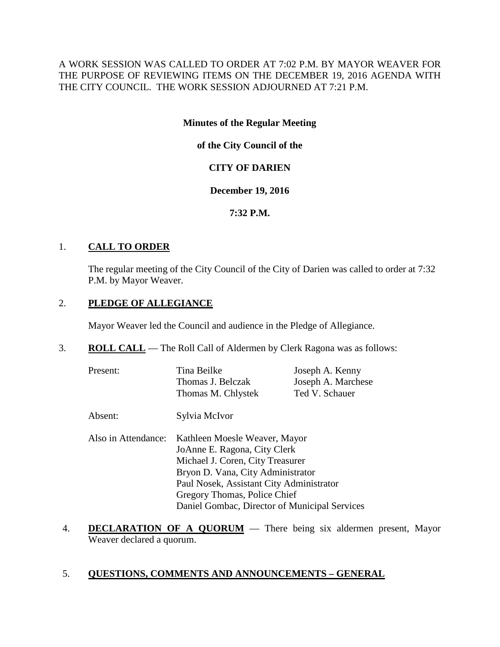A WORK SESSION WAS CALLED TO ORDER AT 7:02 P.M. BY MAYOR WEAVER FOR THE PURPOSE OF REVIEWING ITEMS ON THE DECEMBER 19, 2016 AGENDA WITH THE CITY COUNCIL. THE WORK SESSION ADJOURNED AT 7:21 P.M.

# **Minutes of the Regular Meeting**

**of the City Council of the**

# **CITY OF DARIEN**

# **December 19, 2016**

# **7:32 P.M.**

# 1. **CALL TO ORDER**

The regular meeting of the City Council of the City of Darien was called to order at 7:32 P.M. by Mayor Weaver.

# 2. **PLEDGE OF ALLEGIANCE**

Mayor Weaver led the Council and audience in the Pledge of Allegiance.

3. **ROLL CALL** — The Roll Call of Aldermen by Clerk Ragona was as follows:

| Present: | Tina Beilke        | Joseph A. Kenny    |
|----------|--------------------|--------------------|
|          | Thomas J. Belczak  | Joseph A. Marchese |
|          | Thomas M. Chlystek | Ted V. Schauer     |

- Absent: Sylvia McIvor
- Also in Attendance: Kathleen Moesle Weaver, Mayor JoAnne E. Ragona, City Clerk Michael J. Coren, City Treasurer Bryon D. Vana, City Administrator Paul Nosek, Assistant City Administrator Gregory Thomas, Police Chief Daniel Gombac, Director of Municipal Services
- 4. **DECLARATION OF A QUORUM** There being six aldermen present, Mayor Weaver declared a quorum.

# 5. **QUESTIONS, COMMENTS AND ANNOUNCEMENTS – GENERAL**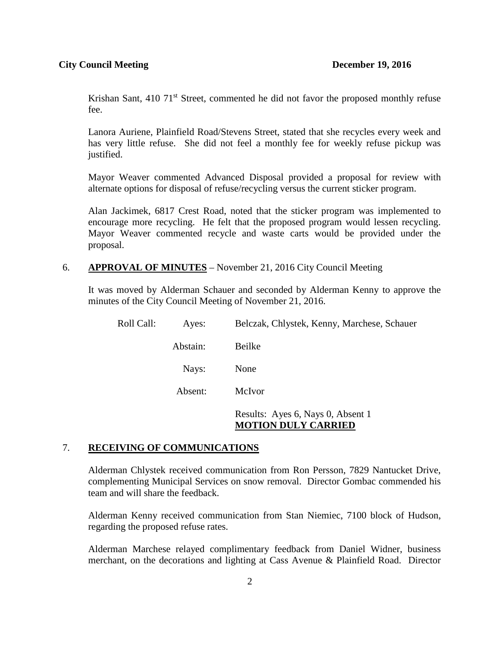Krishan Sant, 410 71<sup>st</sup> Street, commented he did not favor the proposed monthly refuse fee.

Lanora Auriene, Plainfield Road/Stevens Street, stated that she recycles every week and has very little refuse. She did not feel a monthly fee for weekly refuse pickup was justified.

Mayor Weaver commented Advanced Disposal provided a proposal for review with alternate options for disposal of refuse/recycling versus the current sticker program.

Alan Jackimek, 6817 Crest Road, noted that the sticker program was implemented to encourage more recycling. He felt that the proposed program would lessen recycling. Mayor Weaver commented recycle and waste carts would be provided under the proposal.

### 6. **APPROVAL OF MINUTES** – November 21, 2016 City Council Meeting

It was moved by Alderman Schauer and seconded by Alderman Kenny to approve the minutes of the City Council Meeting of November 21, 2016.

| Roll Call: | Ayes:    | Belczak, Chlystek, Kenny, Marchese, Schauer                     |
|------------|----------|-----------------------------------------------------------------|
|            | Abstain: | Beilke                                                          |
|            | Nays:    | None                                                            |
|            | Absent:  | McIvor                                                          |
|            |          | Results: Ayes 6, Nays 0, Absent 1<br><b>MOTION DULY CARRIED</b> |

## 7. **RECEIVING OF COMMUNICATIONS**

Alderman Chlystek received communication from Ron Persson, 7829 Nantucket Drive, complementing Municipal Services on snow removal. Director Gombac commended his team and will share the feedback.

Alderman Kenny received communication from Stan Niemiec, 7100 block of Hudson, regarding the proposed refuse rates.

Alderman Marchese relayed complimentary feedback from Daniel Widner, business merchant, on the decorations and lighting at Cass Avenue & Plainfield Road. Director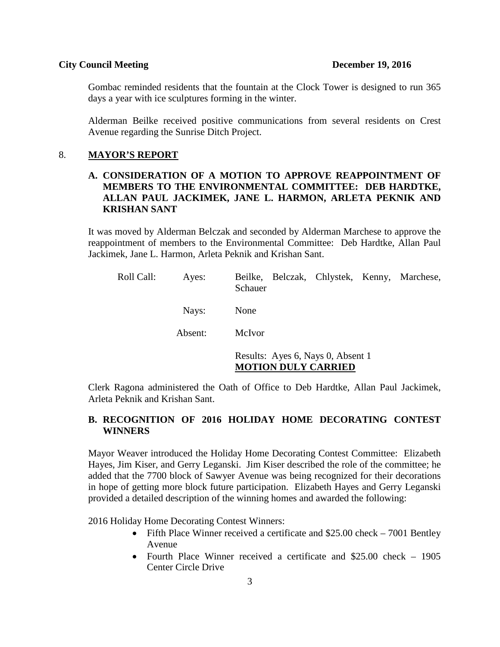Gombac reminded residents that the fountain at the Clock Tower is designed to run 365 days a year with ice sculptures forming in the winter.

Alderman Beilke received positive communications from several residents on Crest Avenue regarding the Sunrise Ditch Project.

#### 8. **MAYOR'S REPORT**

# **A. CONSIDERATION OF A MOTION TO APPROVE REAPPOINTMENT OF MEMBERS TO THE ENVIRONMENTAL COMMITTEE: DEB HARDTKE, ALLAN PAUL JACKIMEK, JANE L. HARMON, ARLETA PEKNIK AND KRISHAN SANT**

It was moved by Alderman Belczak and seconded by Alderman Marchese to approve the reappointment of members to the Environmental Committee: Deb Hardtke, Allan Paul Jackimek, Jane L. Harmon, Arleta Peknik and Krishan Sant.

| Roll Call: | Ayes:   | Beilke, Belczak, Chlystek, Kenny, Marchese,<br>Schauer          |
|------------|---------|-----------------------------------------------------------------|
|            | Nays:   | None                                                            |
|            | Absent: | McIvor                                                          |
|            |         | Results: Ayes 6, Nays 0, Absent 1<br><b>MOTION DULY CARRIED</b> |

Clerk Ragona administered the Oath of Office to Deb Hardtke, Allan Paul Jackimek, Arleta Peknik and Krishan Sant.

# **B. RECOGNITION OF 2016 HOLIDAY HOME DECORATING CONTEST WINNERS**

Mayor Weaver introduced the Holiday Home Decorating Contest Committee: Elizabeth Hayes, Jim Kiser, and Gerry Leganski. Jim Kiser described the role of the committee; he added that the 7700 block of Sawyer Avenue was being recognized for their decorations in hope of getting more block future participation. Elizabeth Hayes and Gerry Leganski provided a detailed description of the winning homes and awarded the following:

2016 Holiday Home Decorating Contest Winners:

- Fifth Place Winner received a certificate and \$25.00 check 7001 Bentley Avenue
- Fourth Place Winner received a certificate and \$25,00 check 1905 Center Circle Drive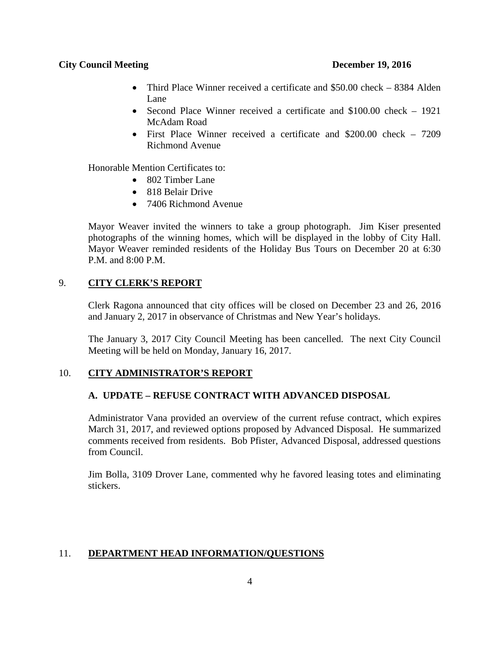- Third Place Winner received a certificate and \$50.00 check 8384 Alden Lane
- Second Place Winner received a certificate and \$100.00 check 1921 McAdam Road
- First Place Winner received a certificate and \$200.00 check 7209 Richmond Avenue

Honorable Mention Certificates to:

- 802 Timber Lane
- 818 Belair Drive
- 7406 Richmond Avenue

Mayor Weaver invited the winners to take a group photograph. Jim Kiser presented photographs of the winning homes, which will be displayed in the lobby of City Hall. Mayor Weaver reminded residents of the Holiday Bus Tours on December 20 at 6:30 P.M. and 8:00 P.M.

# 9. **CITY CLERK'S REPORT**

Clerk Ragona announced that city offices will be closed on December 23 and 26, 2016 and January 2, 2017 in observance of Christmas and New Year's holidays.

The January 3, 2017 City Council Meeting has been cancelled. The next City Council Meeting will be held on Monday, January 16, 2017.

# 10. **CITY ADMINISTRATOR'S REPORT**

# **A. UPDATE – REFUSE CONTRACT WITH ADVANCED DISPOSAL**

Administrator Vana provided an overview of the current refuse contract, which expires March 31, 2017, and reviewed options proposed by Advanced Disposal. He summarized comments received from residents. Bob Pfister, Advanced Disposal, addressed questions from Council.

Jim Bolla, 3109 Drover Lane, commented why he favored leasing totes and eliminating stickers.

# 11. **DEPARTMENT HEAD INFORMATION/QUESTIONS**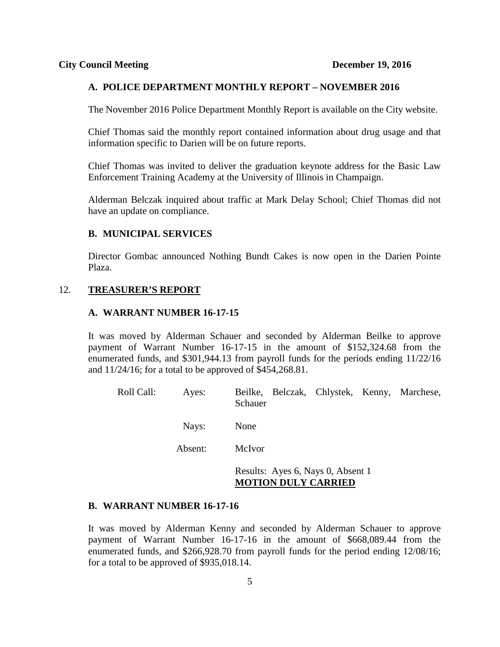## **A. POLICE DEPARTMENT MONTHLY REPORT – NOVEMBER 2016**

The November 2016 Police Department Monthly Report is available on the City website.

Chief Thomas said the monthly report contained information about drug usage and that information specific to Darien will be on future reports.

Chief Thomas was invited to deliver the graduation keynote address for the Basic Law Enforcement Training Academy at the University of Illinois in Champaign.

Alderman Belczak inquired about traffic at Mark Delay School; Chief Thomas did not have an update on compliance.

## **B. MUNICIPAL SERVICES**

Director Gombac announced Nothing Bundt Cakes is now open in the Darien Pointe Plaza.

## 12. **TREASURER'S REPORT**

#### **A. WARRANT NUMBER 16-17-15**

It was moved by Alderman Schauer and seconded by Alderman Beilke to approve payment of Warrant Number 16-17-15 in the amount of \$152,324.68 from the enumerated funds, and \$301,944.13 from payroll funds for the periods ending 11/22/16 and 11/24/16; for a total to be approved of \$454,268.81.

| Roll Call: | Ayes:   | Beilke, Belczak, Chlystek, Kenny, Marchese,<br>Schauer |  |  |
|------------|---------|--------------------------------------------------------|--|--|
|            | Nays:   | None                                                   |  |  |
|            | Absent: | McIvor                                                 |  |  |
|            |         | Results: Ayes 6, Nays 0, Absent 1                      |  |  |

# **MOTION DULY CARRIED**

#### **B. WARRANT NUMBER 16-17-16**

It was moved by Alderman Kenny and seconded by Alderman Schauer to approve payment of Warrant Number 16-17-16 in the amount of \$668,089.44 from the enumerated funds, and \$266,928.70 from payroll funds for the period ending 12/08/16; for a total to be approved of \$935,018.14.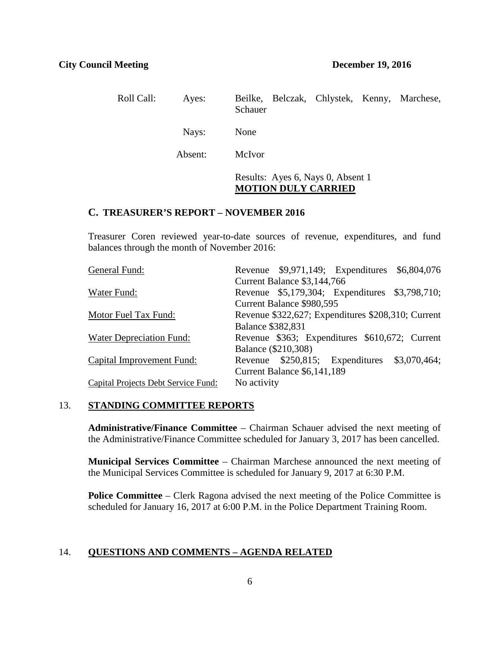| Roll Call: | Ayes:   | Beilke, Belczak, Chlystek, Kenny, Marchese,<br>Schauer          |
|------------|---------|-----------------------------------------------------------------|
|            | Nays:   | None                                                            |
|            | Absent: | McIvor                                                          |
|            |         | Results: Ayes 6, Nays 0, Absent 1<br><b>MOTION DULY CARRIED</b> |

## **C. TREASURER'S REPORT – NOVEMBER 2016**

Treasurer Coren reviewed year-to-date sources of revenue, expenditures, and fund balances through the month of November 2016:

| General Fund:                       |                          |                             | Revenue \$9,971,149; Expenditures \$6,804,076      |  |
|-------------------------------------|--------------------------|-----------------------------|----------------------------------------------------|--|
|                                     |                          | Current Balance \$3,144,766 |                                                    |  |
| Water Fund:                         |                          |                             | Revenue \$5,179,304; Expenditures \$3,798,710;     |  |
|                                     |                          | Current Balance \$980,595   |                                                    |  |
| Motor Fuel Tax Fund:                |                          |                             | Revenue \$322,627; Expenditures \$208,310; Current |  |
|                                     | <b>Balance \$382,831</b> |                             |                                                    |  |
| Water Depreciation Fund:            |                          |                             | Revenue \$363; Expenditures \$610,672; Current     |  |
|                                     |                          | Balance (\$210,308)         |                                                    |  |
| Capital Improvement Fund:           |                          |                             | Revenue \$250,815; Expenditures \$3,070,464;       |  |
|                                     |                          | Current Balance \$6,141,189 |                                                    |  |
| Capital Projects Debt Service Fund: | No activity              |                             |                                                    |  |

## 13. **STANDING COMMITTEE REPORTS**

**Administrative/Finance Committee** – Chairman Schauer advised the next meeting of the Administrative/Finance Committee scheduled for January 3, 2017 has been cancelled.

**Municipal Services Committee** – Chairman Marchese announced the next meeting of the Municipal Services Committee is scheduled for January 9, 2017 at 6:30 P.M.

**Police Committee** – Clerk Ragona advised the next meeting of the Police Committee is scheduled for January 16, 2017 at 6:00 P.M. in the Police Department Training Room.

## 14. **QUESTIONS AND COMMENTS – AGENDA RELATED**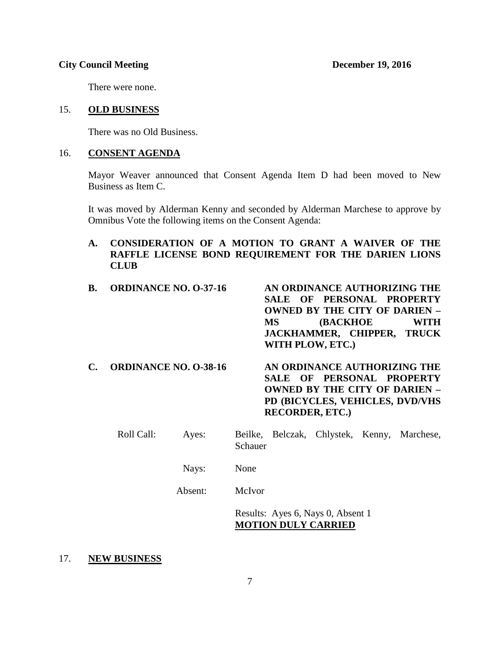There were none.

## 15. **OLD BUSINESS**

There was no Old Business.

## 16. **CONSENT AGENDA**

Mayor Weaver announced that Consent Agenda Item D had been moved to New Business as Item C.

It was moved by Alderman Kenny and seconded by Alderman Marchese to approve by Omnibus Vote the following items on the Consent Agenda:

**A. CONSIDERATION OF A MOTION TO GRANT A WAIVER OF THE RAFFLE LICENSE BOND REQUIREMENT FOR THE DARIEN LIONS CLUB**

| В. | <b>ORDINANCE NO. 0-37-16</b> | AN ORDINANCE AUTHORIZING THE<br>SALE OF PERSONAL PROPERTY<br><b>OWNED BY THE CITY OF DARIEN -</b><br><b>(BACKHOE)</b><br><b>WITH</b><br><b>MS</b><br>JACKHAMMER, CHIPPER, TRUCK<br>WITH PLOW, ETC.) |
|----|------------------------------|-----------------------------------------------------------------------------------------------------------------------------------------------------------------------------------------------------|
| С. | <b>ORDINANCE NO. 0-38-16</b> | AN ORDINANCE AUTHORIZING THE<br>SALE OF PERSONAL PROPERTY<br><b>OWNED BY THE CITY OF DARIEN -</b><br>PD (BICYCLES, VEHICLES, DVD/VHS<br><b>RECORDER, ETC.)</b>                                      |

| Roll Call: | Ayes: | Schauer |  | Beilke, Belczak, Chlystek, Kenny, Marchese, |
|------------|-------|---------|--|---------------------------------------------|
|            | Nays: | None    |  |                                             |

Absent: McIvor

Results: Ayes 6, Nays 0, Absent 1 **MOTION DULY CARRIED**

## 17. **NEW BUSINESS**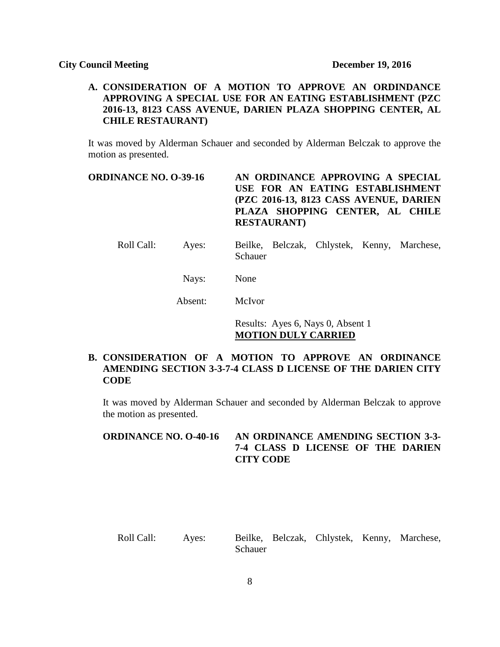# **A. CONSIDERATION OF A MOTION TO APPROVE AN ORDINDANCE APPROVING A SPECIAL USE FOR AN EATING ESTABLISHMENT (PZC 2016-13, 8123 CASS AVENUE, DARIEN PLAZA SHOPPING CENTER, AL CHILE RESTAURANT)**

It was moved by Alderman Schauer and seconded by Alderman Belczak to approve the motion as presented.

# **ORDINANCE NO. O-39-16 AN ORDINANCE APPROVING A SPECIAL USE FOR AN EATING ESTABLISHMENT (PZC 2016-13, 8123 CASS AVENUE, DARIEN PLAZA SHOPPING CENTER, AL CHILE RESTAURANT)**

Roll Call: Ayes: Beilke, Belczak, Chlystek, Kenny, Marchese, Schauer

Nays: None

Absent: McIvor

Results: Ayes 6, Nays 0, Absent 1 **MOTION DULY CARRIED**

# **B. CONSIDERATION OF A MOTION TO APPROVE AN ORDINANCE AMENDING SECTION 3-3-7-4 CLASS D LICENSE OF THE DARIEN CITY CODE**

It was moved by Alderman Schauer and seconded by Alderman Belczak to approve the motion as presented.

# **ORDINANCE NO. O-40-16 AN ORDINANCE AMENDING SECTION 3-3- 7-4 CLASS D LICENSE OF THE DARIEN CITY CODE**

Roll Call: Ayes: Beilke, Belczak, Chlystek, Kenny, Marchese, Schauer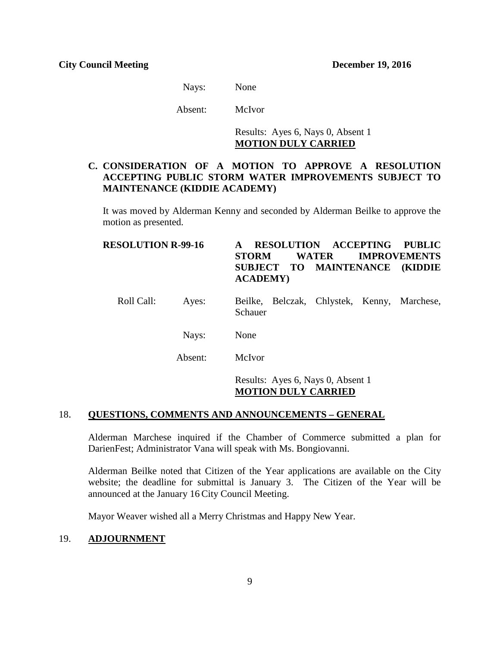Nays: None

Absent: McIvor

Results: Ayes 6, Nays 0, Absent 1 **MOTION DULY CARRIED**

# **C. CONSIDERATION OF A MOTION TO APPROVE A RESOLUTION ACCEPTING PUBLIC STORM WATER IMPROVEMENTS SUBJECT TO MAINTENANCE (KIDDIE ACADEMY)**

It was moved by Alderman Kenny and seconded by Alderman Beilke to approve the motion as presented.

| <b>RESOLUTION R-99-16</b> |         | <b>RESOLUTION ACCEPTING</b><br><b>PUBLIC</b><br>A<br><b>IMPROVEMENTS</b><br><b>WATER</b><br><b>STORM</b><br>SUBJECT TO MAINTENANCE (KIDDIE<br><b>ACADEMY</b> ) |  |  |  |
|---------------------------|---------|----------------------------------------------------------------------------------------------------------------------------------------------------------------|--|--|--|
| Roll Call:                | Ayes:   | Beilke, Belczak, Chlystek, Kenny, Marchese,<br>Schauer                                                                                                         |  |  |  |
|                           | Nays:   | None                                                                                                                                                           |  |  |  |
|                           | Absent: | McIvor                                                                                                                                                         |  |  |  |
|                           |         | Results: Ayes 6, Nays 0, Absent 1                                                                                                                              |  |  |  |

## **MOTION DULY CARRIED**

## 18. **QUESTIONS, COMMENTS AND ANNOUNCEMENTS – GENERAL**

Alderman Marchese inquired if the Chamber of Commerce submitted a plan for DarienFest; Administrator Vana will speak with Ms. Bongiovanni.

Alderman Beilke noted that Citizen of the Year applications are available on the City website; the deadline for submittal is January 3. The Citizen of the Year will be announced at the January 16 City Council Meeting.

Mayor Weaver wished all a Merry Christmas and Happy New Year.

# 19. **ADJOURNMENT**